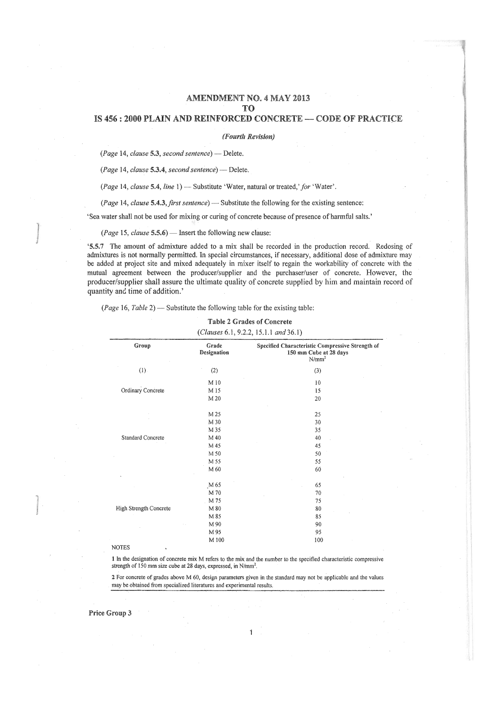# AMENDMENT NO. 4 MAY 2013 TO

# IS 456 : 2000 PLAIN AND REINFORCED CONCRETE - CODE OF PRACTICE

#### *(Fourth Revision)*

*(Page* 14, *clause* 5.3, *second sentence)* - Delete.

*(Page* 14, *clause* 5.3.4, *second sentence)* - Delete.

*(Page 14, clause 5.4, line 1) - Substitute 'Water, natural or treated,' for 'Water'.* 

*(Page 14, clause 5.4.3, first sentence)* — Substitute the following for the existing sentence:

'Sea water shall not be used for mixing or curing of concrete because of presence of harmful salts.'

*(Page 15, clause 5.5.6)* — Insert the following new clause:

'5.5.'7 The amount of admixture added to a mix shall be recorded in the production record. Redosing of admixtures is not normally permitted. In special circumstances, if necessary, additional dose of admixture may be added at project site and mixed adequately in mixer itself to regain the workability of concrete with the mutual agreement between the producer/supplier and the purchaser/user of concrete. However, the producer/supplier shall assure the ultimate quality of concrete supplied him and maintain record of quantity and time of addition.'

*(Page 16, Table 2)* — Substitute the following table for the existing table:

#### Table 2 Grades of Concrete

# *(Clauses* 6.1, 9.2.2,15.1.1 *and36.1)*

| Group                  | Grade<br>Designation | Specified Characteristic Compressive Strength of<br>150 mm Cube at 28 days<br>$N/mm^2$ |  |  |
|------------------------|----------------------|----------------------------------------------------------------------------------------|--|--|
| (1)                    | (2)                  | (3)                                                                                    |  |  |
|                        | M 10                 | 10                                                                                     |  |  |
| Ordinary Concrete      | M 15                 | 15                                                                                     |  |  |
|                        | M 20                 | 20                                                                                     |  |  |
|                        | M 25                 | 25                                                                                     |  |  |
|                        | M 30                 | 30                                                                                     |  |  |
|                        | M 35                 | 35                                                                                     |  |  |
| Standard Concrete      | M 40                 | 40                                                                                     |  |  |
|                        | M 45                 | 45                                                                                     |  |  |
|                        | M 50                 | 50                                                                                     |  |  |
|                        | M 55                 | 55                                                                                     |  |  |
|                        | M 60                 | 60                                                                                     |  |  |
|                        | M 65                 | 65                                                                                     |  |  |
|                        | M 70                 | 70                                                                                     |  |  |
|                        | M 75                 | 75                                                                                     |  |  |
| High Strength Concrete | M 80                 | 80                                                                                     |  |  |
|                        | M 85                 | 85                                                                                     |  |  |
|                        | M 90                 | 90                                                                                     |  |  |
|                        | M 95                 | 95                                                                                     |  |  |
|                        | M 100                | 100                                                                                    |  |  |

#### NOTES

1 In the designation of concrete mix M refers to the mix and the number to the specified characteristic compressive strength of 150 mm size cube at 28 days, expressed, in N/mm*<sup>2</sup>*

2 For concrete of grades above M 60, design parameters given in the standard may not be applicable and the values may be obtained from specialized literatures and experimental results.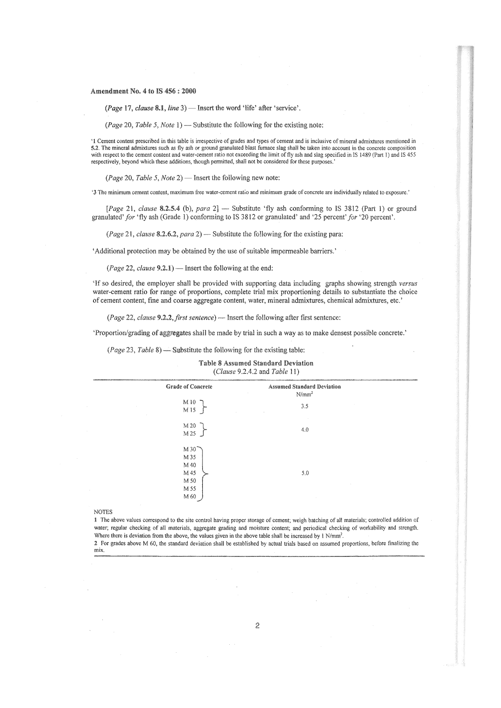#### Amendment No.4 to IS 456 : 2000

*(Page* 17, *clause* 8.1, *line* 3) - Insert the word 'life' after 'service'.

*(Page 20, Table 5, Note 1)* — Substitute the following for the existing note:

'1 Cement content prescribed in this table is irrespective of grades and types of cement and is inclusive of mineral admixtures mentioned in  $\lambda$ . The minimal admixtures such as fly ash or ground granulated blast furnace slag shall be taken into account in the conception.<br> $\lambda$ . The minimal admixtures such as fly ash or ground granulated blast furnace slag shal respectively, beyond which these additions, though permitted, shall not be considered for these purposes.'

*(Page* 20, *Table* 5, *Note* 2) - Insert the following new note:

'3 The minimum cement content, maximum free water-cement ratio and minimum grade of concrete are individually related to exposure.'

[*Page* 21, *clause* **8.2.5.4** (b), *para*  $2$ ]  $-$  Substitute 'fly ash conforming to IS 3812 (Part 1) or ground granulated' *for* 'fly ash (Grade 1) conforming to IS 3812 or granulated' and '25 percent' *for* '20 percent'.

*(Page* 21, *clause* 8.2.6.2, *para* 2) - Substitute the following for the existing para:

'Additional protection may be obtained by the use of suitable impermeable barriers.'

*(Page 22, clause 9.2.1)* - Insert the following at the end:

'If so desired, the employer shall be provided with supporting data i.ncluding graphs showing strength *versus*  water-cement ratio for range of proportions, complete trial mix proportioning details to substantiate the choice of cement content, fme and coarse aggregate content, water, mineral admixtures, chemical admixtures, etc.'

*(Page 22, clause 9.2.2, first sentence)* — Insert the following after first sentence:

'Proportion/grading of aggregates shall be made by trial in such a way as to make densest possible concrete.'

*(Page 23, Table 8)* — Substitute the following for the existing table:

| (Clause 9.2.4.2 and Table 11) |                                                                    |                                               |  |  |  |  |
|-------------------------------|--------------------------------------------------------------------|-----------------------------------------------|--|--|--|--|
|                               | <b>Grade of Concrete</b>                                           | <b>Assumed Standard Deviation</b><br>$N/mm^2$ |  |  |  |  |
|                               | $M10$ )<br>M15                                                     | 3.5                                           |  |  |  |  |
|                               | M 20<br>M 25                                                       | 4.0                                           |  |  |  |  |
|                               | $M30$ <sup>~</sup><br>M 35<br>M 40<br>M 45<br>M 50<br>M 55<br>M 60 | 5.0                                           |  |  |  |  |

Table 8 Assumed Standard Deviation *(Clause* 9.2.4.2 and *Table* 11)

#### NOTES

1 The above values correspond to the site control having proper storage of cement; weigh batching of all materials; controlled addition of water; regular checking of all materials, aggregate grading and moisture content; and periodical checking of workability and strength. Where there is deviation from the above, the values given in the above table shall be increased by 1 N/mm<sup>2</sup>.

:2 For grades above M 60, the standard deviation shall be established by actual trials based on assumed proportions, before finalizing the mix.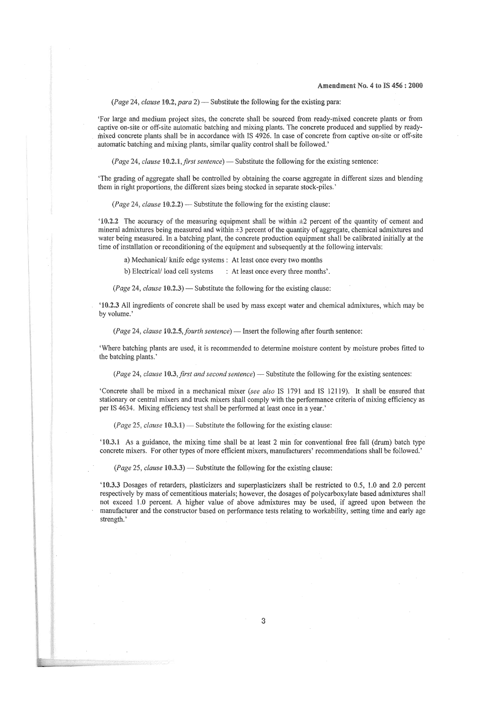*(Page 24, clause 10.2, para 2)* — Substitute the following for the existing para:

'For large and medium project sites, the concrete shall be sourced from ready~mixed concrete plants or from captive on-site or off-site automatic batching and mixing plants. The concrete produced and supplied by readymixed concrete plants shaH be in accordance with IS 4926. In case of concrete from captive on-site or off-site automatic batching and mixing plants, similar quality control shall be followed.'

*(Page 24, clause 10.2.1, first sentence) — Substitute the following for the existing sentence:* 

'The grading of aggregate shall be controlled by obtaining the coarse aggregate in different sizes and blending them in right proportions, the different sizes being stocked in separate stock-piles.'

*(Page 24, clause 10.2.2)* — Substitute the following for the existing clause:

'10.2.2 The accuracy of the measuring equipment shall be within ±2 percent of the quantity of cement and mineral admixtures being measured and within  $\pm 3$  percent of the quantity of aggregate, chemical admixtures and water being measured. In a batching plant, the concrete production equipment shall be calibrated initially at the time of installation or reconditioning of the equipment and subsequently at the following intervals:

a) MechanicaV knife edge systems: At least once every two months

b) Electrical/load cell systems : At least once every three months'.

*(Page 24, clause 10.2.3)* — Substitute the following for the existing clause:

'10.2.3 All ingredients of concrete shall be used by mass except water and chemical admixtures, which may be by volume.'

*(Page 24, clause 10.2.5, fourth sentence)* — Insert the following after fourth sentence:

'Where batching plants are used, it is recommended to determine moisture content by moisture probes fitted to the batching plants. '

*(Page 24, clause 10.3, first and second sentence) — Substitute the following for the existing sentences:* 

'Concrete shall be mixed in a mechanical mixer *(see also* IS 1791 and IS 12119). It shall be ensured that stationary or central mixers and truck mixers shall comply with the performance criteria of mixing efficiency as per IS 4634. Mixing efficiency test shall be performed at least once in a year.'

*(Page 25, clause 10.3.1)* — Substitute the following for the existing clause:

'10.3.1 As a guidance, the mixing time shall be at least 2 min for conventional free fall (drum) batch type concrete mixers. For other types of more efficient mixers, manufacturers' recommendations shall be followed.'

*(Page 25, clause 10.3.3)* — Substitute the following for the existing clause:

'10.3.3 Dosages of retarders, plasticizers and superplasticizers shall be restricted to 0.5, 1.0 and 2.0 percent respectively by mass of cementitious materials; however, the dosages of polycarboxylate based admixtures shall not exceed 1.0 percent. A higher value of above admixtures may be used, if agreed upon between the manufacturer and the constructor based on performance tests relating to workability, setting time and early age strength.'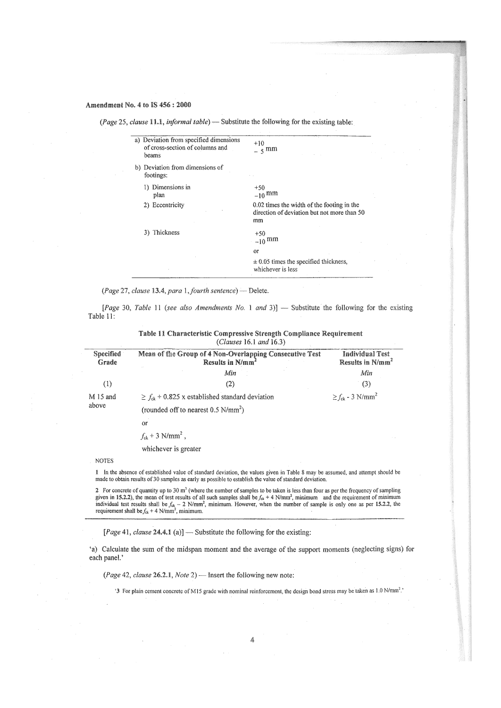# Amendment No. 4 to IS 456: 2000

*(Page 25, clause 11.1, informal table)* — Substitute the following for the existing table:

| a) Deviation from specified dimensions<br>of cross-section of columns and<br>beams | $+10$<br>$5 \text{ mm}$                                                                         |
|------------------------------------------------------------------------------------|-------------------------------------------------------------------------------------------------|
| b) Deviation from dimensions of<br>footings:                                       |                                                                                                 |
| 1) Dimensions in<br>plan                                                           | $+50$<br>$-10$ mm                                                                               |
| 2) Eccentricity                                                                    | 0.02 times the width of the footing in the<br>direction of deviation but not more than 50<br>mm |
| 3) Thickness                                                                       | $+50$<br>$-10$ mm                                                                               |
|                                                                                    | or                                                                                              |
|                                                                                    | $\pm$ 0.05 times the specified thickness,<br>whichever is less                                  |
|                                                                                    |                                                                                                 |

*(Page 27, clause 13.4, para 1, fourth sentence)* - Delete.

[Page 30, Table 11 (see also Amendments No. 1 and 3)] - Substitute the following for the existing Table 11:

| Specified<br>Grade | Mean of the Group of 4 Non-Overlapping Consecutive Test<br>Results in N/mm <sup>2</sup> | <b>Individual Test</b><br>Results in N/mm <sup>2</sup> |
|--------------------|-----------------------------------------------------------------------------------------|--------------------------------------------------------|
|                    | Min                                                                                     | Min                                                    |
| (1)                | (2)                                                                                     | (3)                                                    |
| M 15 and           | $\geq f_{ck}$ + 0.825 x established standard deviation                                  | $\geq f_{ck}$ - 3 N/mm <sup>2</sup>                    |
| above              | (rounded off to nearest $0.5 \text{ N/mm}^2$ )                                          |                                                        |
|                    | Οľ                                                                                      |                                                        |
|                    | $f_{ck}$ + 3 N/mm <sup>2</sup> ,                                                        |                                                        |
|                    | whichever is greater                                                                    |                                                        |

Table 11 Characteristic Compressive Strength Compliance Requirement *(Clauses* 16.1 *and 16.3)* 

### NOTES

1 In the absence of established value of standard deviation, the values given in Table 8 may be assumed, and attempt should be made to obtain results of 30 samples as early as possible to establish the value of standard deviation.

2 For concrete of quantity up to 30  $m<sup>3</sup>$  (where the number of samples to be taken is less than four as per the frequency of sampling given in 15.2.2), the mean of test results of all such samples shall be  $f_{ck}$  + 4 N/mm<sup>2</sup>, minimum and the requirement of minimum Individual test results shall be  $f_{ek} - 2$  N/mm<sup>2</sup>, minimum. However, when the number of sample is only one as per 15.2.2, the equirement shall be  $f_{ek} + 4$  N/mm<sup>2</sup>, minimum.

*[Page* 41, *clause* 24.4.1 (a)] - Substitute the following for the existing:

'a) Calculate the sum of the midspan moment and the average of the support moments (neglecting signs) for each paneL'

*(Page* 42, *clause* 26.2.1, *Note* 2) - Insert the following new note:

'3 For plain cement concrete of M15 grade with nominal reinforcement, the design bond stress may be taken as 1.0 N/mm<sup>2</sup>.'